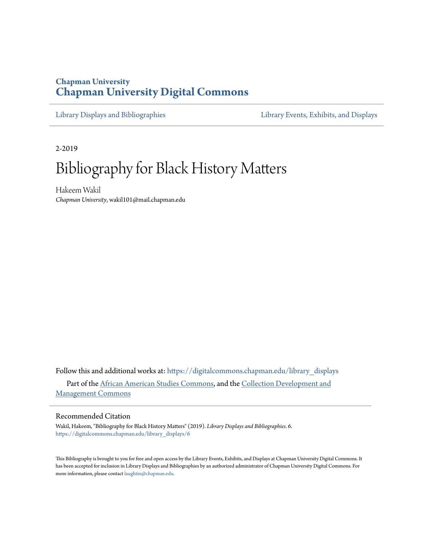# **Chapman University [Chapman University Digital Commons](https://digitalcommons.chapman.edu?utm_source=digitalcommons.chapman.edu%2Flibrary_displays%2F6&utm_medium=PDF&utm_campaign=PDFCoverPages)**

[Library Displays and Bibliographies](https://digitalcommons.chapman.edu/library_displays?utm_source=digitalcommons.chapman.edu%2Flibrary_displays%2F6&utm_medium=PDF&utm_campaign=PDFCoverPages) [Library Events, Exhibits, and Displays](https://digitalcommons.chapman.edu/library_events?utm_source=digitalcommons.chapman.edu%2Flibrary_displays%2F6&utm_medium=PDF&utm_campaign=PDFCoverPages)

2-2019

# Bibliography for Black History Matters

Hakeem Wakil *Chapman University*, wakil101@mail.chapman.edu

Follow this and additional works at: [https://digitalcommons.chapman.edu/library\\_displays](https://digitalcommons.chapman.edu/library_displays?utm_source=digitalcommons.chapman.edu%2Flibrary_displays%2F6&utm_medium=PDF&utm_campaign=PDFCoverPages) Part of the [African American Studies Commons,](http://network.bepress.com/hgg/discipline/567?utm_source=digitalcommons.chapman.edu%2Flibrary_displays%2F6&utm_medium=PDF&utm_campaign=PDFCoverPages) and the [Collection Development and](http://network.bepress.com/hgg/discipline/1271?utm_source=digitalcommons.chapman.edu%2Flibrary_displays%2F6&utm_medium=PDF&utm_campaign=PDFCoverPages) [Management Commons](http://network.bepress.com/hgg/discipline/1271?utm_source=digitalcommons.chapman.edu%2Flibrary_displays%2F6&utm_medium=PDF&utm_campaign=PDFCoverPages)

#### Recommended Citation

Wakil, Hakeem, "Bibliography for Black History Matters" (2019). *Library Displays and Bibliographies*. 6. [https://digitalcommons.chapman.edu/library\\_displays/6](https://digitalcommons.chapman.edu/library_displays/6?utm_source=digitalcommons.chapman.edu%2Flibrary_displays%2F6&utm_medium=PDF&utm_campaign=PDFCoverPages)

This Bibliography is brought to you for free and open access by the Library Events, Exhibits, and Displays at Chapman University Digital Commons. It has been accepted for inclusion in Library Displays and Bibliographies by an authorized administrator of Chapman University Digital Commons. For more information, please contact [laughtin@chapman.edu](mailto:laughtin@chapman.edu).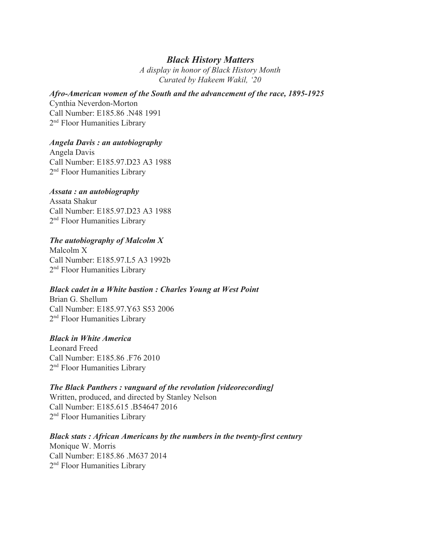## *Black History Matters*

*A display in honor of Black History Month Curated by Hakeem Wakil, '20*

## *Afro-American women of the South and the advancement of the race, 1895-1925*

Cynthia Neverdon-Morton Call Number: E185.86 .N48 1991 2<sup>nd</sup> Floor Humanities Library

## *Angela Davis : an autobiography*

Angela Davis Call Number: E185.97.D23 A3 1988 2<sup>nd</sup> Floor Humanities Library

## *Assata : an autobiography*

Assata Shakur Call Number: E185.97.D23 A3 1988 2<sup>nd</sup> Floor Humanities Library

## *The autobiography of Malcolm X*

Malcolm X Call Number: E185.97.L5 A3 1992b 2<sup>nd</sup> Floor Humanities Library

## *Black cadet in a White bastion : Charles Young at West Point*

Brian G. Shellum Call Number: E185.97.Y63 S53 2006 2<sup>nd</sup> Floor Humanities Library

## *Black in White America*

Leonard Freed Call Number: E185.86 .F76 2010 2<sup>nd</sup> Floor Humanities Library

## *The Black Panthers : vanguard of the revolution [videorecording]*

Written, produced, and directed by Stanley Nelson Call Number: E185.615 .B54647 2016 2<sup>nd</sup> Floor Humanities Library

## *Black stats : African Americans by the numbers in the twenty-first century*

Monique W. Morris Call Number: E185.86 .M637 2014 2<sup>nd</sup> Floor Humanities Library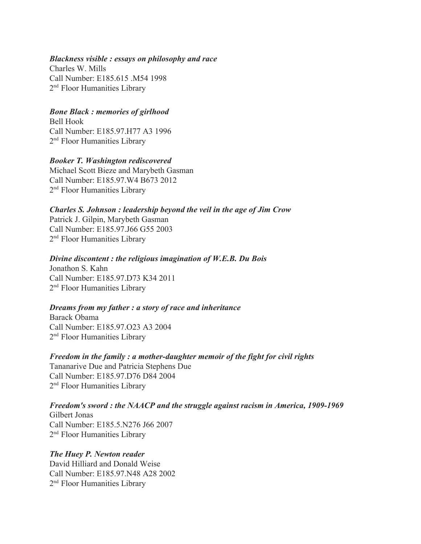#### *Blackness visible : essays on philosophy and race*

Charles W. Mills Call Number: E185.615 .M54 1998 2<sup>nd</sup> Floor Humanities Library

## *Bone Black : memories of girlhood*

Bell Hook Call Number: E185.97.H77 A3 1996 2<sup>nd</sup> Floor Humanities Library

## *Booker T. Washington rediscovered*

Michael Scott Bieze and Marybeth Gasman Call Number: E185.97.W4 B673 2012 2<sup>nd</sup> Floor Humanities Library

*Charles S. Johnson : leadership beyond the veil in the age of Jim Crow* Patrick J. Gilpin, Marybeth Gasman Call Number: E185.97.J66 G55 2003 2<sup>nd</sup> Floor Humanities Library

## *Divine discontent : the religious imagination of W.E.B. Du Bois*

Jonathon S. Kahn Call Number: E185.97.D73 K34 2011 2<sup>nd</sup> Floor Humanities Library

## *Dreams from my father : a story of race and inheritance*

Barack Obama Call Number: E185.97.O23 A3 2004 2<sup>nd</sup> Floor Humanities Library

*Freedom in the family : a mother-daughter memoir of the fight for civil rights* Tananarive Due and Patricia Stephens Due Call Number: E185.97.D76 D84 2004 2<sup>nd</sup> Floor Humanities Library

# *Freedom's sword : the NAACP and the struggle against racism in America, 1909-1969*

Gilbert Jonas Call Number: E185.5.N276 J66 2007 2<sup>nd</sup> Floor Humanities Library

## *The Huey P. Newton reader*

David Hilliard and Donald Weise Call Number: E185.97.N48 A28 2002 2<sup>nd</sup> Floor Humanities Library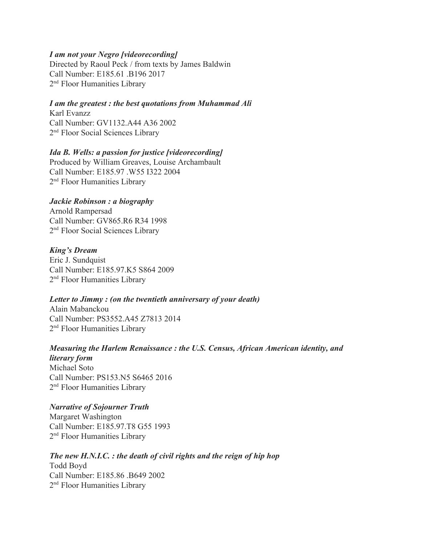## *I am not your Negro [videorecording]*

Directed by Raoul Peck / from texts by James Baldwin Call Number: E185.61 .B196 2017 2<sup>nd</sup> Floor Humanities Library

## *I am the greatest : the best quotations from Muhammad Ali*

Karl Evanzz Call Number: GV1132.A44 A36 2002 2<sup>nd</sup> Floor Social Sciences Library

#### *Ida B. Wells: a passion for justice [videorecording]*

Produced by William Greaves, Louise Archambault Call Number: E185.97 .W55 I322 2004 2<sup>nd</sup> Floor Humanities Library

#### *Jackie Robinson : a biography*

Arnold Rampersad Call Number: GV865.R6 R34 1998 2<sup>nd</sup> Floor Social Sciences Library

#### *King's Dream*

Eric J. Sundquist Call Number: E185.97.K5 S864 2009 2<sup>nd</sup> Floor Humanities Library

## *Letter to Jimmy : (on the twentieth anniversary of your death)*

Alain Mabanckou Call Number: PS3552.A45 Z7813 2014 2<sup>nd</sup> Floor Humanities Library

# *Measuring the Harlem Renaissance : the U.S. Census, African American identity, and*

*literary form* Michael Soto Call Number: PS153.N5 S6465 2016 2<sup>nd</sup> Floor Humanities Library

#### *Narrative of Sojourner Truth*

Margaret Washington Call Number: E185.97.T8 G55 1993 2<sup>nd</sup> Floor Humanities Library

## *The new H.N.I.C. : the death of civil rights and the reign of hip hop* Todd Boyd Call Number: E185.86 .B649 2002 2<sup>nd</sup> Floor Humanities Library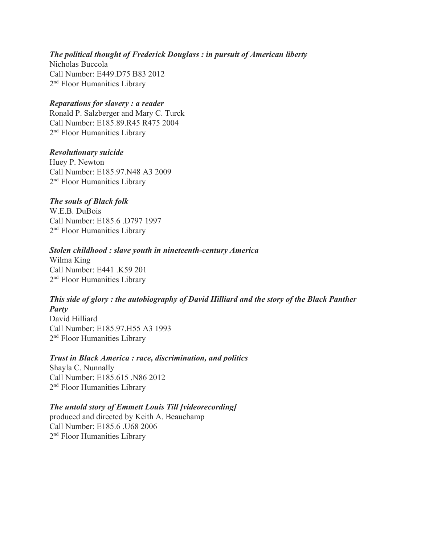## *The political thought of Frederick Douglass : in pursuit of American liberty*

Nicholas Buccola Call Number: E449.D75 B83 2012 2<sup>nd</sup> Floor Humanities Library

## *Reparations for slavery : a reader*

Ronald P. Salzberger and Mary C. Turck Call Number: E185.89.R45 R475 2004 2<sup>nd</sup> Floor Humanities Library

## *Revolutionary suicide*

Huey P. Newton Call Number: E185.97.N48 A3 2009 2<sup>nd</sup> Floor Humanities Library

## *The souls of Black folk*

W.E.B. DuBois Call Number: E185.6 D797 1997 2<sup>nd</sup> Floor Humanities Library

## *Stolen childhood : slave youth in nineteenth-century America*

Wilma King Call Number: E441 .K59 201 2<sup>nd</sup> Floor Humanities Library

## *This side of glory : the autobiography of David Hilliard and the story of the Black Panther Party*

David Hilliard Call Number: E185.97.H55 A3 1993 2<sup>nd</sup> Floor Humanities Library

## *Trust in Black America : race, discrimination, and politics*

Shayla C. Nunnally Call Number: E185.615 .N86 2012 2<sup>nd</sup> Floor Humanities Library

## *The untold story of Emmett Louis Till [videorecording]*

produced and directed by Keith A. Beauchamp Call Number: E185.6 .U68 2006 2<sup>nd</sup> Floor Humanities Library